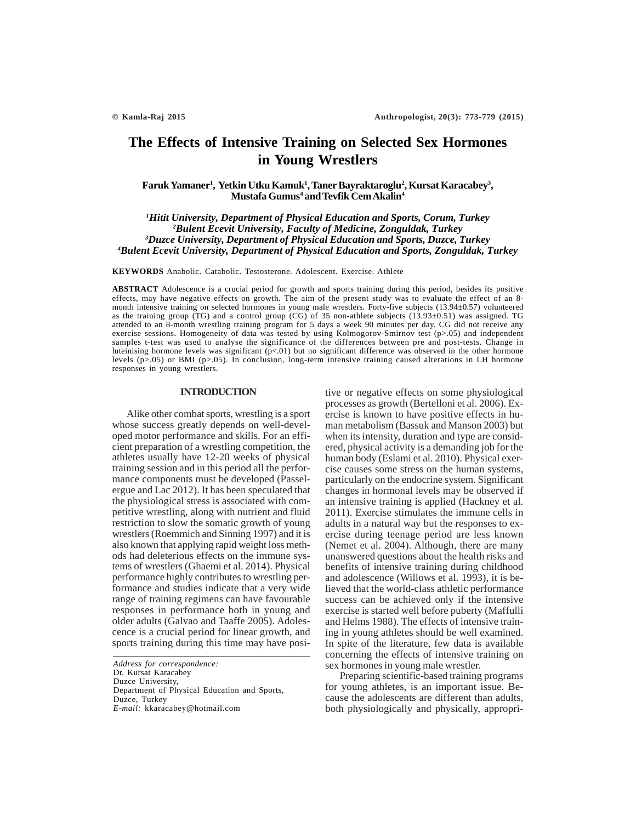# **The Effects of Intensive Training on Selected Sex Hormones in Young Wrestlers**

**Faruk Yamaner1 , Yetkin Utku Kamuk1 , Taner Bayraktaroglu2 , Kursat Karacabey3 ,**  $M$ ustafa Gumus<sup>4</sup> and Tevfik Cem Akalin<sup>4</sup>

 *Hitit University, Department of Physical Education and Sports, Corum, Turkey Bulent Ecevit University, Faculty of Medicine, Zonguldak, Turkey Duzce University, Department of Physical Education and Sports, Duzce, Turkey Bulent Ecevit University, Department of Physical Education and Sports, Zonguldak, Turkey*

**KEYWORDS** Anabolic. Catabolic. Testosterone. Adolescent. Exercise. Athlete

**ABSTRACT** Adolescence is a crucial period for growth and sports training during this period, besides its positive effects, may have negative effects on growth. The aim of the present study was to evaluate the effect of an 8 month intensive training on selected hormones in young male wrestlers. Forty-five subjects (13.94±0.57) volunteered as the training group (TG) and a control group (CG) of 35 non-athlete subjects (13.93 $\pm$ 0.51) was assigned. TG attended to an 8-month wrestling training program for 5 days a week 90 minutes per day. CG did not receive any exercise sessions. Homogeneity of data was tested by using Kolmogorov-Smirnov test (p>.05) and independent samples t-test was used to analyse the significance of the differences between pre and post-tests. Change in luteinising hormone levels was significant (p<.01) but no significant difference was observed in the other hormone levels (p>.05) or BMI (p>.05). In conclusion, long-term intensive training caused alterations in LH hormone responses in young wrestlers.

# **INTRODUCTION**

Alike other combat sports, wrestling is a sport whose success greatly depends on well-developed motor performance and skills. For an efficient preparation of a wrestling competition, the athletes usually have 12-20 weeks of physical training session and in this period all the performance components must be developed (Passelergue and Lac 2012). It has been speculated that the physiological stress is associated with competitive wrestling, along with nutrient and fluid restriction to slow the somatic growth of young wrestlers (Roemmich and Sinning 1997) and it is also known that applying rapid weight loss methods had deleterious effects on the immune systems of wrestlers (Ghaemi et al. 2014). Physical performance highly contributes to wrestling performance and studies indicate that a very wide range of training regimens can have favourable responses in performance both in young and older adults (Galvao and Taaffe 2005). Adolescence is a crucial period for linear growth, and sports training during this time may have posi-

*Address for correspondence:* Dr. Kursat Karacabey Duzce University, Department of Physical Education and Sports, Duzce, Turkey *E-mail:* kkaracabey@hotmail.com

tive or negative effects on some physiological processes as growth (Bertelloni et al. 2006). Exercise is known to have positive effects in human metabolism (Bassuk and Manson 2003) but when its intensity, duration and type are considered, physical activity is a demanding job for the human body (Eslami et al. 2010). Physical exercise causes some stress on the human systems, particularly on the endocrine system. Significant changes in hormonal levels may be observed if an intensive training is applied (Hackney et al. 2011). Exercise stimulates the immune cells in adults in a natural way but the responses to exercise during teenage period are less known (Nemet et al. 2004). Although, there are many unanswered questions about the health risks and benefits of intensive training during childhood and adolescence (Willows et al. 1993), it is believed that the world-class athletic performance success can be achieved only if the intensive exercise is started well before puberty (Maffulli and Helms 1988). The effects of intensive training in young athletes should be well examined. In spite of the literature, few data is available concerning the effects of intensive training on sex hormones in young male wrestler.

Preparing scientific-based training programs for young athletes, is an important issue. Because the adolescents are different than adults, both physiologically and physically, appropri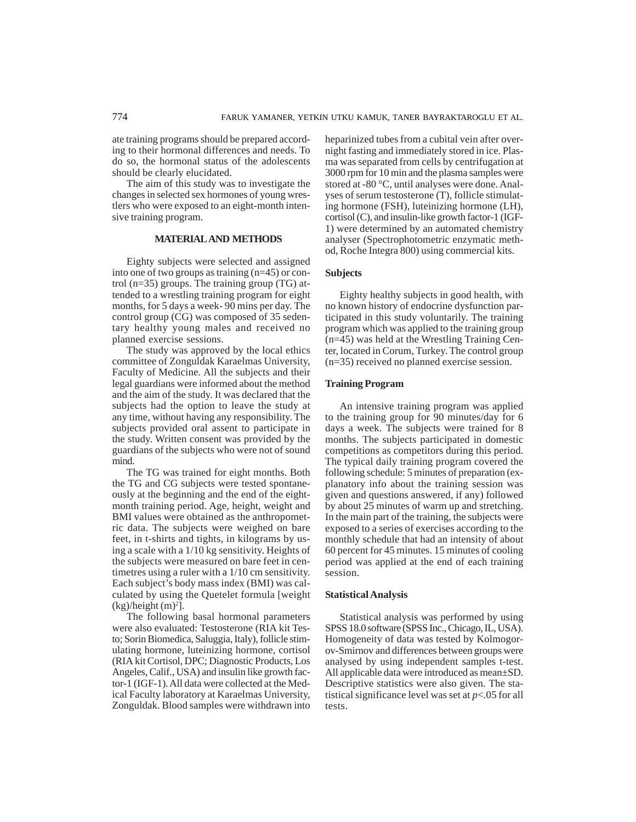ate training programs should be prepared according to their hormonal differences and needs. To do so, the hormonal status of the adolescents should be clearly elucidated.

The aim of this study was to investigate the changes in selected sex hormones of young wrestlers who were exposed to an eight-month intensive training program.

# **MATERIAL AND METHODS**

Eighty subjects were selected and assigned into one of two groups as training (n=45) or control (n=35) groups. The training group (TG) attended to a wrestling training program for eight months, for 5 days a week- 90 mins per day. The control group (CG) was composed of 35 sedentary healthy young males and received no planned exercise sessions.

The study was approved by the local ethics committee of Zonguldak Karaelmas University, Faculty of Medicine. All the subjects and their legal guardians were informed about the method and the aim of the study. It was declared that the subjects had the option to leave the study at any time, without having any responsibility. The subjects provided oral assent to participate in the study. Written consent was provided by the guardians of the subjects who were not of sound mind.

The TG was trained for eight months. Both the TG and CG subjects were tested spontaneously at the beginning and the end of the eightmonth training period. Age, height, weight and BMI values were obtained as the anthropometric data. The subjects were weighed on bare feet, in t-shirts and tights, in kilograms by using a scale with a 1/10 kg sensitivity. Heights of the subjects were measured on bare feet in centimetres using a ruler with a 1/10 cm sensitivity. Each subject's body mass index (BMI) was calculated by using the Quetelet formula [weight  $(kg)/height(m)^{2}$ .

The following basal hormonal parameters were also evaluated: Testosterone (RIA kit Testo; Sorin Biomedica, Saluggia, Italy), follicle stimulating hormone, luteinizing hormone, cortisol (RIA kit Cortisol, DPC; Diagnostic Products, Los Angeles, Calif., USA) and insulin like growth factor-1 (IGF-1). All data were collected at the Medical Faculty laboratory at Karaelmas University, Zonguldak. Blood samples were withdrawn into

heparinized tubes from a cubital vein after overnight fasting and immediately stored in ice. Plasma was separated from cells by centrifugation at 3000 rpm for 10 min and the plasma samples were stored at -80 °C, until analyses were done. Analyses of serum testosterone (T), follicle stimulating hormone (FSH), luteinizing hormone (LH), cortisol (C), and insulin-like growth factor-1 (IGF-1) were determined by an automated chemistry analyser (Spectrophotometric enzymatic method, Roche Integra 800) using commercial kits.

# **Subjects**

Eighty healthy subjects in good health, with no known history of endocrine dysfunction participated in this study voluntarily. The training program which was applied to the training group (n=45) was held at the Wrestling Training Center, located in Corum, Turkey. The control group (n=35) received no planned exercise session.

# **Training Program**

An intensive training program was applied to the training group for 90 minutes/day for 6 days a week. The subjects were trained for 8 months. The subjects participated in domestic competitions as competitors during this period. The typical daily training program covered the following schedule: 5 minutes of preparation (explanatory info about the training session was given and questions answered, if any) followed by about 25 minutes of warm up and stretching. In the main part of the training, the subjects were exposed to a series of exercises according to the monthly schedule that had an intensity of about 60 percent for 45 minutes. 15 minutes of cooling period was applied at the end of each training session.

#### **Statistical Analysis**

Statistical analysis was performed by using SPSS 18.0 software (SPSS Inc., Chicago, IL, USA). Homogeneity of data was tested by Kolmogorov-Smirnov and differences between groups were analysed by using independent samples t-test. All applicable data were introduced as mean±SD. Descriptive statistics were also given. The statistical significance level was set at *p*<.05 for all tests.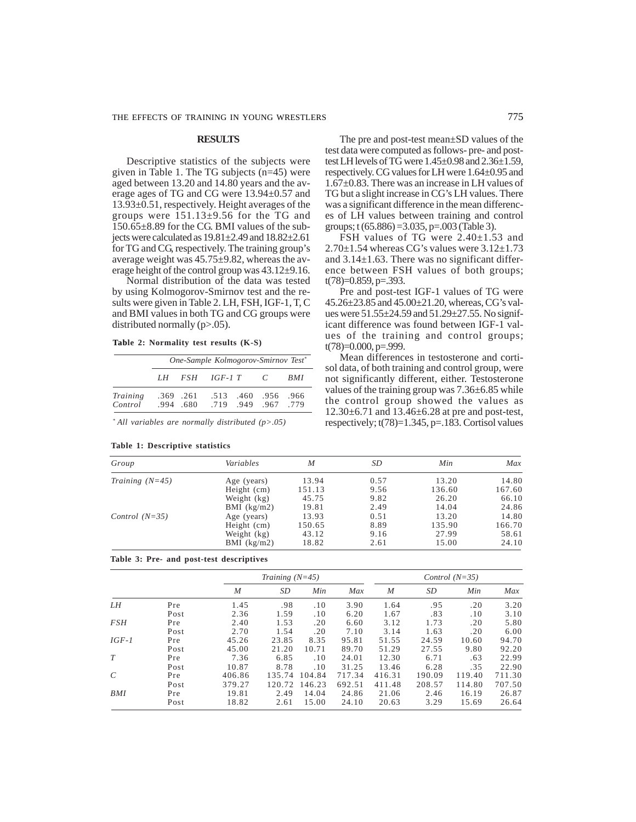#### **RESULTS**

Descriptive statistics of the subjects were given in Table 1. The TG subjects (n=45) were aged between 13.20 and 14.80 years and the average ages of TG and CG were 13.94±0.57 and 13.93±0.51, respectively. Height averages of the groups were  $151.13\pm9.56$  for the TG and 150.65±8.89 for the CG. BMI values of the subjects were calculated as 19.81±2.49 and 18.82±2.61 for TG and CG, respectively. The training group's average weight was 45.75±9.82, whereas the average height of the control group was 43.12±9.16.

Normal distribution of the data was tested by using Kolmogorov-Smirnov test and the results were given in Table 2. LH, FSH, IGF-1, T, C and BMI values in both TG and CG groups were distributed normally (p>.05).

**Table 2: Normality test results (K-S)**

|                     | One-Sample Kolmogorov-Smirnov Test* |                          |               |                                   |                |            |  |  |
|---------------------|-------------------------------------|--------------------------|---------------|-----------------------------------|----------------|------------|--|--|
|                     |                                     |                          | LH FSH IGF-1T |                                   | $\overline{C}$ | <i>BMI</i> |  |  |
| Training<br>Control |                                     | $.369$ $.261$<br>994 680 |               | .513 .460 .956<br>719 949 967 779 |                | .966       |  |  |

*\* All variables are normally distributed (p>.05)*

|  | Table 1: Descriptive statistics |  |
|--|---------------------------------|--|
|  |                                 |  |

The pre and post-test mean±SD values of the test data were computed as follows- pre- and posttest LH levels of TG were 1.45±0.98 and 2.36±1.59, respectively. CG values for LH were 1.64±0.95 and 1.67±0.83. There was an increase in LH values of TG but a slight increase in CG's LH values. There was a significant difference in the mean differences of LH values between training and control groups; t (65.886) =3.035, p=.003 (Table 3).

FSH values of TG were 2.40±1.53 and  $2.70\pm1.54$  whereas CG's values were  $3.12\pm1.73$ and 3.14±1.63. There was no significant difference between FSH values of both groups;  $t(78)=0.859, p=.393.$ 

Pre and post-test IGF-1 values of TG were 45.26±23.85 and 45.00±21.20, whereas, CG's values were 51.55±24.59 and 51.29±27.55. No significant difference was found between IGF-1 values of the training and control groups; t(78)=0.000, p=.999.

Mean differences in testosterone and cortisol data, of both training and control group, were not significantly different, either. Testosterone values of the training group was 7.36±6.85 while the control group showed the values as 12.30±6.71 and 13.46±6.28 at pre and post-test, respectively;  $t(78)=1.345$ ,  $p=.183$ . Cortisol values

| Group             | Variables     | M      | SD.  | Min    | Max    |
|-------------------|---------------|--------|------|--------|--------|
| Training $(N=45)$ | Age (years)   | 13.94  | 0.57 | 13.20  | 14.80  |
|                   | Height (cm)   | 151.13 | 9.56 | 136.60 | 167.60 |
|                   | Weight (kg)   | 45.75  | 9.82 | 26.20  | 66.10  |
|                   | BMI $(kg/m2)$ | 19.81  | 2.49 | 14.04  | 24.86  |
| Control $(N=35)$  | Age (years)   | 13.93  | 0.51 | 13.20  | 14.80  |
|                   | Height (cm)   | 150.65 | 8.89 | 135.90 | 166.70 |
|                   | Weight (kg)   | 43.12  | 9.16 | 27.99  | 58.61  |
|                   | BMI $(kg/m2)$ | 18.82  | 2.61 | 15.00  | 24.10  |

**Table 3: Pre- and post-test descriptives**

|                         |      |        | Training $(N=45)$ |        |        | Control $(N=35)$ |        |        |        |
|-------------------------|------|--------|-------------------|--------|--------|------------------|--------|--------|--------|
|                         |      | M      | SD                | Min    | Max    | M                | SD     | Min    | Max    |
| LΗ                      | Pre  | 1.45   | .98               | .10    | 3.90   | 1.64             | .95    | .20    | 3.20   |
|                         | Post | 2.36   | 1.59              | .10    | 6.20   | 1.67             | .83    | .10    | 3.10   |
| <b>FSH</b>              | Pre  | 2.40   | 1.53              | .20    | 6.60   | 3.12             | 1.73   | .20    | 5.80   |
|                         | Post | 2.70   | 1.54              | .20    | 7.10   | 3.14             | 1.63   | .20    | 6.00   |
| $IGF-1$                 | Pre  | 45.26  | 23.85             | 8.35   | 95.81  | 51.55            | 24.59  | 10.60  | 94.70  |
|                         | Post | 45.00  | 21.20             | 10.71  | 89.70  | 51.29            | 27.55  | 9.80   | 92.20  |
| T                       | Pre  | 7.36   | 6.85              | .10    | 24.01  | 12.30            | 6.71   | .63    | 22.99  |
|                         | Post | 10.87  | 8.78              | .10    | 31.25  | 13.46            | 6.28   | .35    | 22.90  |
| $\mathcal{C}_{0}^{(n)}$ | Pre  | 406.86 | 135.74            | 104.84 | 717.34 | 416.31           | 190.09 | 119.40 | 711.30 |
|                         | Post | 379.27 | 120.72            | 146.23 | 692.51 | 411.48           | 208.57 | 114.80 | 707.50 |
| BMI                     | Pre  | 19.81  | 2.49              | 14.04  | 24.86  | 21.06            | 2.46   | 16.19  | 26.87  |
|                         | Post | 18.82  | 2.61              | 15.00  | 24.10  | 20.63            | 3.29   | 15.69  | 26.64  |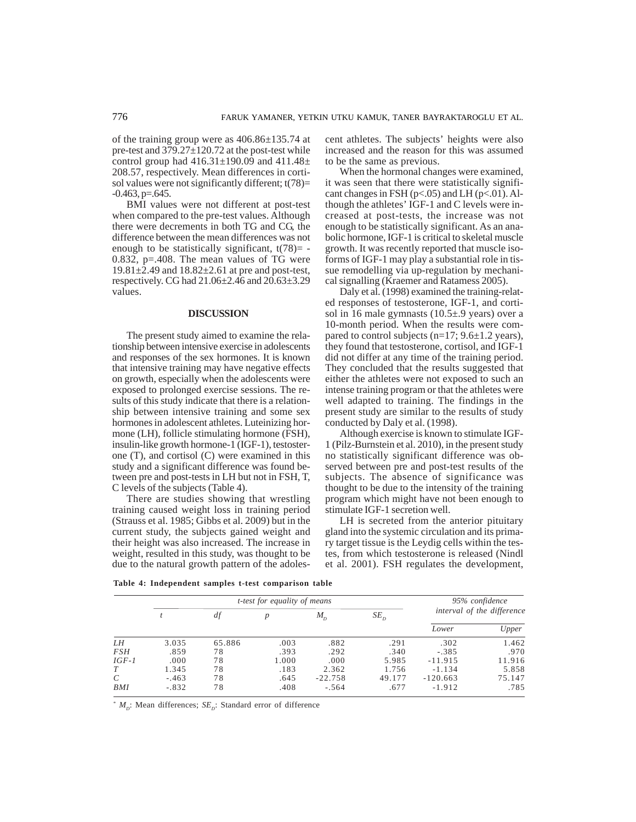of the training group were as 406.86±135.74 at pre-test and 379.27±120.72 at the post-test while control group had  $416.31\pm190.09$  and  $411.48\pm$ 208.57, respectively. Mean differences in cortisol values were not significantly different;  $t(78)=$  $-0.463$ , p= $.645$ .

BMI values were not different at post-test when compared to the pre-test values. Although there were decrements in both TG and CG, the difference between the mean differences was not enough to be statistically significant,  $t(78)$ = -0.832, p=.408. The mean values of TG were 19.81 $\pm$ 2.49 and 18.82 $\pm$ 2.61 at pre and post-test, respectively. CG had 21.06±2.46 and 20.63±3.29 values.

# **DISCUSSION**

The present study aimed to examine the relationship between intensive exercise in adolescents and responses of the sex hormones. It is known that intensive training may have negative effects on growth, especially when the adolescents were exposed to prolonged exercise sessions. The results of this study indicate that there is a relationship between intensive training and some sex hormones in adolescent athletes. Luteinizing hormone (LH), follicle stimulating hormone (FSH), insulin-like growth hormone-1 (IGF-1), testosterone (T), and cortisol (C) were examined in this study and a significant difference was found between pre and post-tests in LH but not in FSH, T, C levels of the subjects (Table 4).

There are studies showing that wrestling training caused weight loss in training period (Strauss et al. 1985; Gibbs et al. 2009) but in the current study, the subjects gained weight and their height was also increased. The increase in weight, resulted in this study, was thought to be due to the natural growth pattern of the adolescent athletes. The subjects' heights were also increased and the reason for this was assumed to be the same as previous.

When the hormonal changes were examined, it was seen that there were statistically significant changes in FSH ( $p<0.05$ ) and LH ( $p<0.01$ ). Although the athletes' IGF-1 and C levels were increased at post-tests, the increase was not enough to be statistically significant. As an anabolic hormone, IGF-1 is critical to skeletal muscle growth. It was recently reported that muscle isoforms of IGF-1 may play a substantial role in tissue remodelling via up-regulation by mechanical signalling (Kraemer and Ratamess 2005).

Daly et al. (1998) examined the training-related responses of testosterone, IGF-1, and cortisol in 16 male gymnasts (10.5±.9 years) over a 10-month period. When the results were compared to control subjects ( $n=17$ ;  $9.6\pm1.2$  years), they found that testosterone, cortisol, and IGF-1 did not differ at any time of the training period. They concluded that the results suggested that either the athletes were not exposed to such an intense training program or that the athletes were well adapted to training. The findings in the present study are similar to the results of study conducted by Daly et al. (1998).

Although exercise is known to stimulate IGF-1 (Pilz-Burnstein et al. 2010), in the present study no statistically significant difference was observed between pre and post-test results of the subjects. The absence of significance was thought to be due to the intensity of the training program which might have not been enough to stimulate IGF-1 secretion well.

LH is secreted from the anterior pituitary gland into the systemic circulation and its primary target tissue is the Leydig cells within the testes, from which testosterone is released (Nindl et al. 2001). FSH regulates the development,

|            |         | <i>t-test for equality of means</i> | 95% confidence |           |          |                            |        |
|------------|---------|-------------------------------------|----------------|-----------|----------|----------------------------|--------|
|            |         | df                                  |                | $M_{D}$   | $SE_{D}$ | interval of the difference |        |
|            |         |                                     |                |           |          | Lower                      | Upper  |
| LH         | 3.035   | 65.886                              | .003           | .882      | .291     | .302                       | 1.462  |
| <i>FSH</i> | .859    | 78                                  | .393           | .292      | .340     | $-.385$                    | .970   |
| $IGF-1$    | .000    | 78                                  | 1.000          | .000      | 5.985    | $-11.915$                  | 11.916 |
| T          | 1.345   | 78                                  | .183           | 2.362     | 1.756    | $-1.134$                   | 5.858  |
| C          | $-.463$ | 78                                  | .645           | $-22.758$ | 49.177   | $-120.663$                 | 75.147 |
| BMI        | $-.832$ | 78                                  | .408           | $-.564$   | .677     | $-1.912$                   | .785   |

\*  $M_D$ : Mean differences;  $SE_D$ : Standard error of difference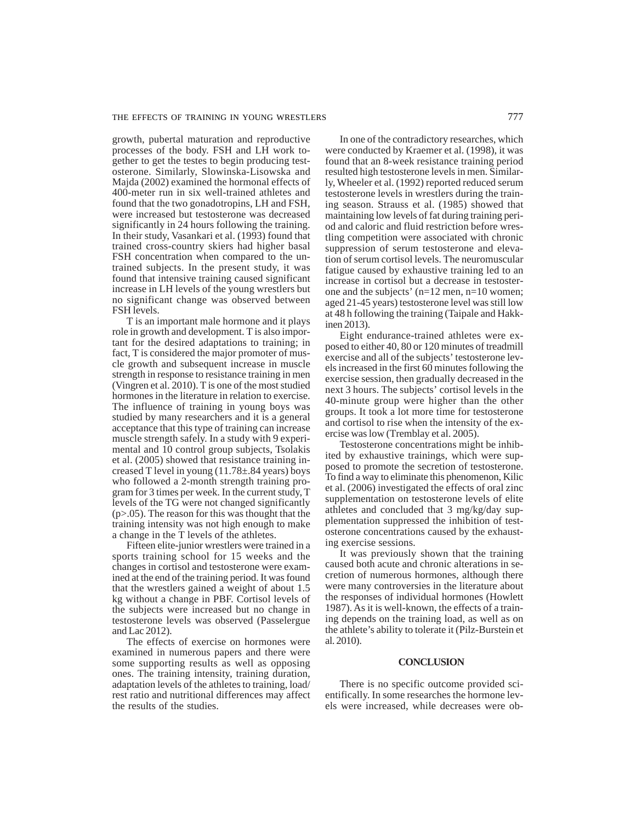growth, pubertal maturation and reproductive processes of the body. FSH and LH work together to get the testes to begin producing testosterone. Similarly, Slowinska-Lisowska and Majda (2002) examined the hormonal effects of 400-meter run in six well-trained athletes and found that the two gonadotropins, LH and FSH, were increased but testosterone was decreased significantly in 24 hours following the training. In their study, Vasankari et al. (1993) found that trained cross-country skiers had higher basal FSH concentration when compared to the untrained subjects. In the present study, it was found that intensive training caused significant increase in LH levels of the young wrestlers but no significant change was observed between FSH levels.

T is an important male hormone and it plays role in growth and development. T is also important for the desired adaptations to training; in fact, T is considered the major promoter of muscle growth and subsequent increase in muscle strength in response to resistance training in men (Vingren et al. 2010). T is one of the most studied hormones in the literature in relation to exercise. The influence of training in young boys was studied by many researchers and it is a general acceptance that this type of training can increase muscle strength safely. In a study with 9 experimental and 10 control group subjects, Tsolakis et al. (2005) showed that resistance training increased T level in young  $(11.78 \pm .84 \text{ years})$  boys who followed a 2-month strength training program for 3 times per week. In the current study, T levels of the TG were not changed significantly (p>.05). The reason for this was thought that the training intensity was not high enough to make a change in the T levels of the athletes.

Fifteen elite-junior wrestlers were trained in a sports training school for 15 weeks and the changes in cortisol and testosterone were examined at the end of the training period. It was found that the wrestlers gained a weight of about 1.5 kg without a change in PBF. Cortisol levels of the subjects were increased but no change in testosterone levels was observed (Passelergue and Lac 2012).

The effects of exercise on hormones were examined in numerous papers and there were some supporting results as well as opposing ones. The training intensity, training duration, adaptation levels of the athletes to training, load/ rest ratio and nutritional differences may affect the results of the studies.

In one of the contradictory researches, which were conducted by Kraemer et al. (1998), it was found that an 8-week resistance training period resulted high testosterone levels in men. Similarly, Wheeler et al. (1992) reported reduced serum testosterone levels in wrestlers during the training season. Strauss et al. (1985) showed that maintaining low levels of fat during training period and caloric and fluid restriction before wrestling competition were associated with chronic suppression of serum testosterone and elevation of serum cortisol levels. The neuromuscular fatigue caused by exhaustive training led to an increase in cortisol but a decrease in testosterone and the subjects' (n=12 men, n=10 women; aged 21-45 years) testosterone level was still low at 48 h following the training (Taipale and Hakkinen 2013).

Eight endurance-trained athletes were exposed to either 40, 80 or 120 minutes of treadmill exercise and all of the subjects' testosterone levels increased in the first 60 minutes following the exercise session, then gradually decreased in the next 3 hours. The subjects' cortisol levels in the 40-minute group were higher than the other groups. It took a lot more time for testosterone and cortisol to rise when the intensity of the exercise was low (Tremblay et al. 2005).

Testosterone concentrations might be inhibited by exhaustive trainings, which were supposed to promote the secretion of testosterone. To find a way to eliminate this phenomenon, Kilic et al. (2006) investigated the effects of oral zinc supplementation on testosterone levels of elite athletes and concluded that 3 mg/kg/day supplementation suppressed the inhibition of testosterone concentrations caused by the exhausting exercise sessions.

It was previously shown that the training caused both acute and chronic alterations in secretion of numerous hormones, although there were many controversies in the literature about the responses of individual hormones (Howlett 1987). As it is well-known, the effects of a training depends on the training load, as well as on the athlete's ability to tolerate it (Pilz-Burstein et al. 2010).

### **CONCLUSION**

There is no specific outcome provided scientifically. In some researches the hormone levels were increased, while decreases were ob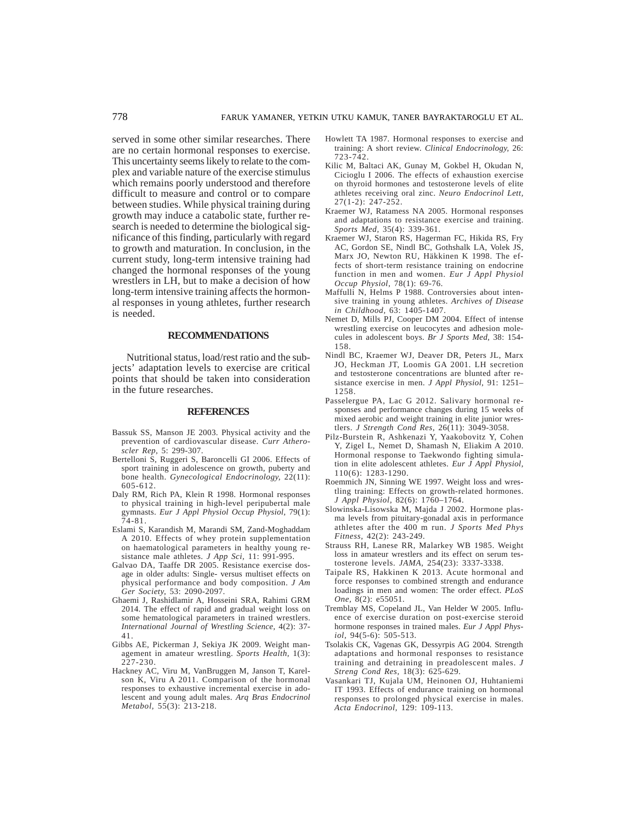served in some other similar researches. There are no certain hormonal responses to exercise. This uncertainty seems likely to relate to the complex and variable nature of the exercise stimulus which remains poorly understood and therefore difficult to measure and control or to compare between studies. While physical training during growth may induce a catabolic state, further research is needed to determine the biological significance of this finding, particularly with regard to growth and maturation. In conclusion, in the current study, long-term intensive training had changed the hormonal responses of the young wrestlers in LH, but to make a decision of how long-term intensive training affects the hormonal responses in young athletes, further research is needed.

### **RECOMMENDATIONS**

Nutritional status, load/rest ratio and the subjects' adaptation levels to exercise are critical points that should be taken into consideration in the future researches.

### **REFERENCES**

- Bassuk SS, Manson JE 2003. Physical activity and the prevention of cardiovascular disease. *Curr Atheroscler Rep,* 5: 299-307.
- Bertelloni S, Ruggeri S, Baroncelli GI 2006. Effects of sport training in adolescence on growth, puberty and bone health. *Gynecological Endocrinology,* 22(11): 605-612.
- Daly RM, Rich PA, Klein R 1998. Hormonal responses to physical training in high-level peripubertal male gymnasts. *Eur J Appl Physiol Occup Physiol,* 79(1): 74-81.
- Eslami S, Karandish M, Marandi SM, Zand-Moghaddam A 2010. Effects of whey protein supplementation on haematological parameters in healthy young resistance male athletes. *J App Sci,* 11: 991-995.
- Galvao DA, Taaffe DR 2005. Resistance exercise dosage in older adults: Single- versus multiset effects on physical performance and body composition. *J Am Ger Society,* 53: 2090-2097.
- Ghaemi J, Rashidlamir A, Hosseini SRA, Rahimi GRM 2014. The effect of rapid and gradual weight loss on some hematological parameters in trained wrestlers. *International Journal of Wrestling Science,* 4(2): 37- 41.
- Gibbs AE, Pickerman J, Sekiya JK 2009. Weight management in amateur wrestling. *Sports Health,* 1(3): 227-230.
- Hackney AC, Viru M, VanBruggen M, Janson T, Karelson K, Viru A 2011. Comparison of the hormonal responses to exhaustive incremental exercise in adolescent and young adult males. *Arq Bras Endocrinol Metabol,* 55(3): 213-218.
- Howlett TA 1987. Hormonal responses to exercise and training: A short review. *Clinical Endocrinology,* 26: 723-742.
- Kilic M, Baltaci AK, Gunay M, Gokbel H, Okudan N, Cicioglu I 2006. The effects of exhaustion exercise on thyroid hormones and testosterone levels of elite athletes receiving oral zinc. *Neuro Endocrinol Lett,* 27(1-2): 247-252.
- Kraemer WJ, Ratamess NA 2005. Hormonal responses and adaptations to resistance exercise and training. *Sports Med,* 35(4): 339-361.
- Kraemer WJ, Staron RS, Hagerman FC, Hikida RS, Fry AC, Gordon SE, Nindl BC, Gothshalk LA, Volek JS, Marx JO, Newton RU, Häkkinen K 1998. The effects of short-term resistance training on endocrine function in men and women. *Eur J Appl Physiol Occup Physiol,* 78(1): 69-76.
- Maffulli N, Helms P 1988. Controversies about intensive training in young athletes. *Archives of Disease in Childhood,* 63: 1405-1407.
- Nemet D, Mills PJ, Cooper DM 2004. Effect of intense wrestling exercise on leucocytes and adhesion molecules in adolescent boys. *Br J Sports Med,* 38: 154- 158.
- Nindl BC, Kraemer WJ, Deaver DR, Peters JL, Marx JO, Heckman JT, Loomis GA 2001. LH secretion and testosterone concentrations are blunted after resistance exercise in men. *J Appl Physiol,* 91: 1251– 1258.
- Passelergue PA, Lac G 2012. Salivary hormonal responses and performance changes during 15 weeks of mixed aerobic and weight training in elite junior wrestlers. *J Strength Cond Res,* 26(11): 3049-3058.
- Pilz-Burstein R, Ashkenazi Y, Yaakobovitz Y, Cohen Y, Zigel L, Nemet D, Shamash N, Eliakim A 2010. Hormonal response to Taekwondo fighting simulation in elite adolescent athletes. *Eur J Appl Physiol,* 110(6): 1283-1290.
- Roemmich JN, Sinning WE 1997. Weight loss and wrestling training: Effects on growth-related hormones. *J Appl Physiol,* 82(6): 1760–1764.
- Slowinska-Lisowska M, Majda J 2002. Hormone plasma levels from pituitary-gonadal axis in performance athletes after the 400 m run. *J Sports Med Phys Fitness,* 42(2): 243-249.
- Strauss RH, Lanese RR, Malarkey WB 1985. Weight loss in amateur wrestlers and its effect on serum testosterone levels. *JAMA,* 254(23): 3337-3338.
- Taipale RS, Hakkinen K 2013. Acute hormonal and force responses to combined strength and endurance loadings in men and women: The order effect. *PLoS One,* 8(2): e55051.
- Tremblay MS, Copeland JL, Van Helder W 2005. Influence of exercise duration on post-exercise steroid hormone responses in trained males. *Eur J Appl Physiol,* 94(5-6): 505-513.
- Tsolakis CK, Vagenas GK, Dessyrpis AG 2004. Strength adaptations and hormonal responses to resistance training and detraining in preadolescent males. *J Streng Cond Res,* 18(3): 625-629.
- Vasankari TJ, Kujala UM, Heinonen OJ, Huhtaniemi IT 1993. Effects of endurance training on hormonal responses to prolonged physical exercise in males. *Acta Endocrinol,* 129: 109-113.